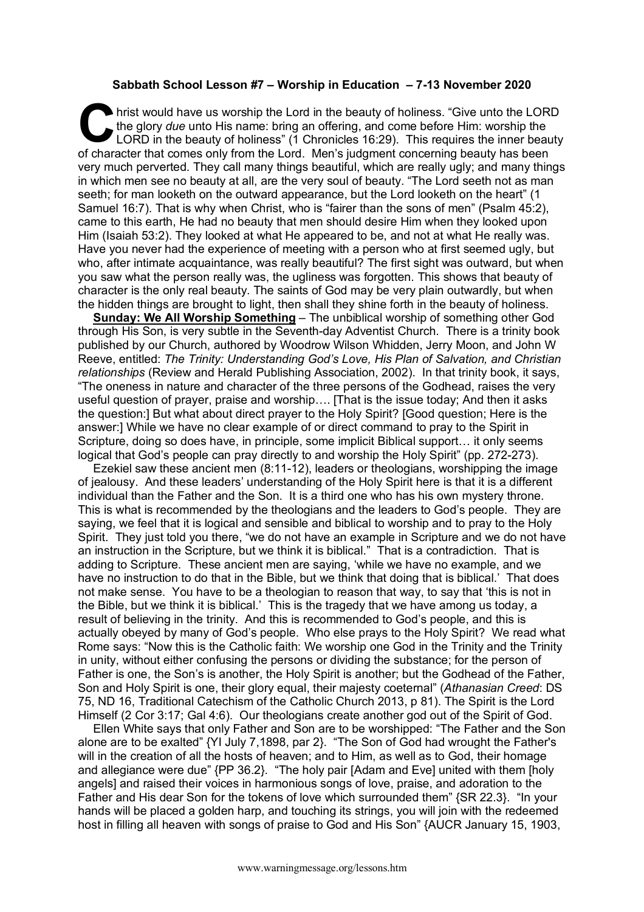## **Sabbath School Lesson #7 – Worship in Education – 7-13 November 2020**

hrist would have us worship the Lord in the beauty of holiness. "Give unto the LORD the glory *due* unto His name: bring an offering, and come before Him: worship the LORD in the beauty of holiness" (1 Chronicles 16:29). T the glory *due* unto His name: bring an offering, and come before Him: worship the LORD in the beauty of holiness" (1 Chronicles 16:29). This requires the inner beauty of character that comes only from the Lord. Men's judgment concerning beauty has been very much perverted. They call many things beautiful, which are really ugly; and many things in which men see no beauty at all, are the very soul of beauty. "The Lord seeth not as man seeth; for man looketh on the outward appearance, but the Lord looketh on the heart" (1 Samuel 16:7). That is why when Christ, who is "fairer than the sons of men" (Psalm 45:2), came to this earth, He had no beauty that men should desire Him when they looked upon Him (Isaiah 53:2). They looked at what He appeared to be, and not at what He really was. Have you never had the experience of meeting with a person who at first seemed ugly, but who, after intimate acquaintance, was really beautiful? The first sight was outward, but when you saw what the person really was, the ugliness was forgotten. This shows that beauty of character is the only real beauty. The saints of God may be very plain outwardly, but when the hidden things are brought to light, then shall they shine forth in the beauty of holiness.

**Sunday: We All Worship Something** – The unbiblical worship of something other God through His Son, is very subtle in the Seventh-day Adventist Church. There is a trinity book published by our Church, authored by Woodrow Wilson Whidden, Jerry Moon, and John W Reeve, entitled: *The Trinity: Understanding God's Love, His Plan of Salvation, and Christian relationships* (Review and Herald Publishing Association, 2002). In that trinity book, it says, "The oneness in nature and character of the three persons of the Godhead, raises the very useful question of prayer, praise and worship…. [That is the issue today; And then it asks the question:] But what about direct prayer to the Holy Spirit? [Good question; Here is the answer:] While we have no clear example of or direct command to pray to the Spirit in Scripture, doing so does have, in principle, some implicit Biblical support… it only seems logical that God's people can pray directly to and worship the Holy Spirit" (pp. 272-273).

Ezekiel saw these ancient men (8:11-12), leaders or theologians, worshipping the image of jealousy. And these leaders' understanding of the Holy Spirit here is that it is a different individual than the Father and the Son. It is a third one who has his own mystery throne. This is what is recommended by the theologians and the leaders to God's people. They are saying, we feel that it is logical and sensible and biblical to worship and to pray to the Holy Spirit. They just told you there, "we do not have an example in Scripture and we do not have an instruction in the Scripture, but we think it is biblical." That is a contradiction. That is adding to Scripture. These ancient men are saying, 'while we have no example, and we have no instruction to do that in the Bible, but we think that doing that is biblical.' That does not make sense. You have to be a theologian to reason that way, to say that 'this is not in the Bible, but we think it is biblical.' This is the tragedy that we have among us today, a result of believing in the trinity. And this is recommended to God's people, and this is actually obeyed by many of God's people. Who else prays to the Holy Spirit? We read what Rome says: "Now this is the Catholic faith: We worship one God in the Trinity and the Trinity in unity, without either confusing the persons or dividing the substance; for the person of Father is one, the Son's is another, the Holy Spirit is another; but the Godhead of the Father, Son and Holy Spirit is one, their glory equal, their majesty coeternal" (*Athanasian Creed*: DS 75, ND 16, Traditional Catechism of the Catholic Church 2013, p 81). The Spirit is the Lord Himself (2 Cor 3:17; Gal 4:6). Our theologians create another god out of the Spirit of God.

Ellen White says that only Father and Son are to be worshipped: "The Father and the Son alone are to be exalted" {YI July 7,1898, par 2}. "The Son of God had wrought the Father's will in the creation of all the hosts of heaven; and to Him, as well as to God, their homage and allegiance were due" {PP 36.2}. "The holy pair [Adam and Eve] united with them [holy angels] and raised their voices in harmonious songs of love, praise, and adoration to the Father and His dear Son for the tokens of love which surrounded them" {SR 22.3}. "In your hands will be placed a golden harp, and touching its strings, you will join with the redeemed host in filling all heaven with songs of praise to God and His Son" {AUCR January 15, 1903,